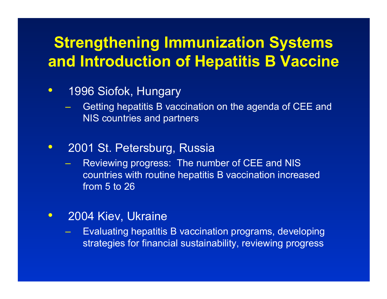# **Strengthening Immunization Systems and Introduction of Hepatitis B Vaccine**

#### $\bullet$ 1996 Siofok, Hungary

- Getting hepatitis B vaccination on the agenda of CEE and NIS countries and partners
- $\bullet$  2001 St. Petersburg, Russia
	- Reviewing progress: The number of CEE and NIS countries with routine hepatitis B vaccination increased from 5 to 26
- $\bullet$  2004 Kiev, Ukraine
	- Evaluating hepatitis B vaccination programs, developing strategies for financial sustainability, reviewing progress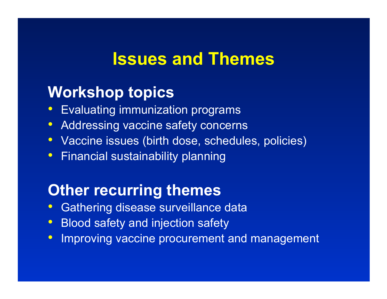# **Issues and Themes**

## **Workshop topics**

- $\bullet$ Evaluating immunization programs
- $\bullet$ Addressing vaccine safety concerns
- Vaccine issues (birth dose, schedules, policies)
- Financial sustainability planning

# **Other recurring themes**

- $\bullet$ Gathering disease surveillance data
- $\bullet$ Blood safety and injection safety
- $\bullet$ Improving vaccine procurement and management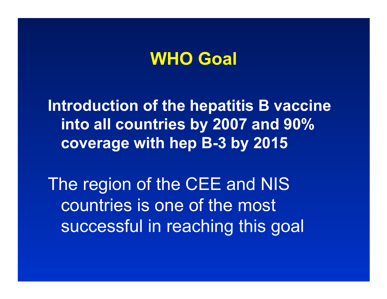# **WHO Goal**

**Introduction of the hepatitis B vaccine into all countries by 2007 and 90% coverage with hep B-3 by 2015**

The region of the CEE and NIS countries is one of the most successful in reaching this goal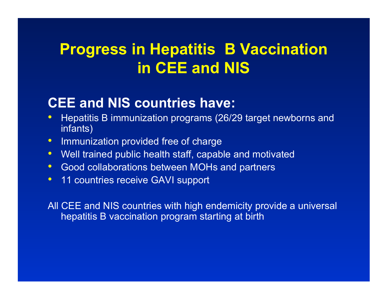# **Progress in Hepatitis B Vaccination in CEE and NIS**

## **CEE and NIS countries have:**

- $\bullet$  Hepatitis B immunization programs (26/29 target newborns and infants)
- $\bullet$ Immunization provided free of charge
- $\bullet$ Well trained public health staff, capable and motivated
- $\bullet$ **• Good collaborations between MOHs and partners**
- $\bullet$ 11 countries receive GAVI support

All CEE and NIS countries with high endemicity provide a universal hepatitis B vaccination program starting at birth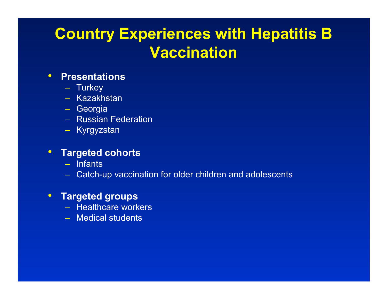# **Country Experiences with Hepatitis B Vaccination**

#### •**Presentations**

- Turkey
- Kazakhstan
- Georgia
- Russian Federation
- Kyrgyzstan

#### •**Targeted cohorts**

- Infants
- Catch-up vaccination for older children and adolescents

#### $\bullet$ **Targeted groups**

- Healthcare workers
- Medical students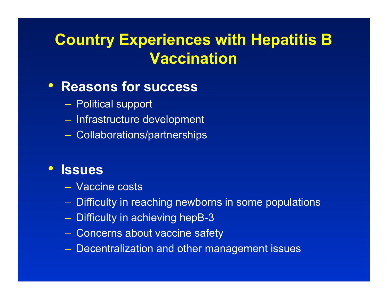# **Country Experiences with Hepatitis B Vaccination**

## • **Reasons for success**

- Political support
- Infrastructure development
- Collaborations/partnerships

### • **Issues**

- Vaccine costs
- Difficulty in reaching newborns in some populations
- $-$  Difficulty in achieving hepB-3  $\,$
- Concerns about vaccine safety
- Decentralization and other management issues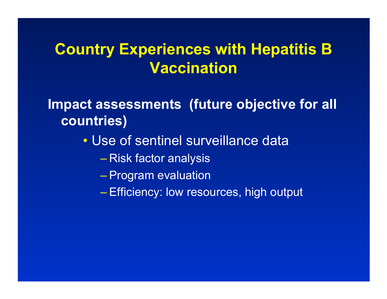## **Country Experiences with Hepatitis B Vaccination**

**Impact assessments (future objective for all countries)**

- Use of sentinel surveillance data
	- Risk factor analysis
	- Program evaluation
	- Efficiency: low resources, high output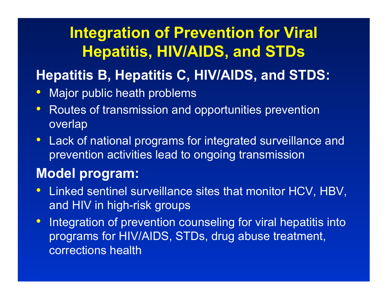# **Integration of Prevention for Viral Hepatitis, HIV/AIDS, and STDs**

## **Hepatitis B, Hepatitis C, HIV/AIDS, and STDS:**

- $\bullet$ Major public heath problems
- $\bullet$  Routes of transmission and opportunities prevention overlap
- $\bullet$  Lack of national programs for integrated surveillance and prevention activities lead to ongoing transmission

## **Model program:**

- $\bullet$  Linked sentinel surveillance sites that monitor HCV, HBV, and HIV in high-risk groups
- $\bullet$  Integration of prevention counseling for viral hepatitis into programs for HIV/AIDS, STDs, drug abuse treatment, corrections health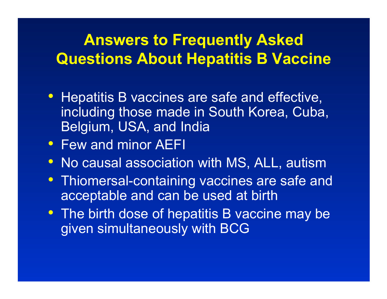# **Answers to Frequently Asked Questions About Hepatitis B Vaccine**

- Hepatitis B vaccines are safe and effective, including those made in South Korea, Cuba, Belgium, USA, and India
- Few and minor AEFI
- No causal association with MS, ALL, autism
- Thiomersal-containing vaccines are safe and acceptable and can be used at birth
- The birth dose of hepatitis B vaccine may be given simultaneously with BCG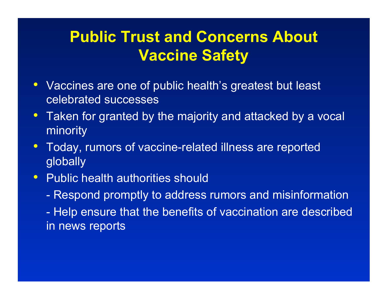# **Public Trust and Concerns About Vaccine Safety**

- Vaccines are one of public health's greatest but least celebrated successes
- Taken for granted by the majority and attacked by a vocal minority
- $\bullet$  Today, rumors of vaccine-related illness are reported globally
- Public health authorities should
	- Respond promptly to address rumors and misinformation
	- Help ensure that the benefits of vaccination are described in news reports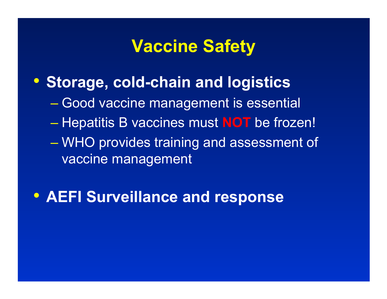# **Vaccine Safety**

- **Storage, cold-chain and logistics**
	- <u>– Liberator Starten i Starten i Starten i Starten i Starten i Starten i Starten i Starten i Starten i Starten i Starten i Starten i Starten i Starten i Starten i Starten i Starten i Starten i Starten i Starten i Starten i</u> – Good vaccine management is essential
	- <u>– Liberator Starten i Starten i Starten i Starten i Starten i Starten i Starten i Starten i Starten i Starten i Starten i Starten i Starten i Starten i Starten i Starten i Starten i Starten i Starten i Starten i Starten i</u> Hepatitis B vaccines must **NOT** be frozen!
	- – WHO provides training and assessment of vaccine management
- **AEFI Surveillance and response**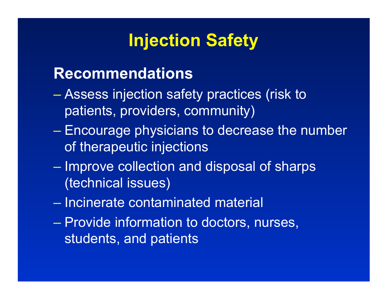# **Injection Safety**

## **Recommendations**

- Assess injection safety practices (risk to patients, providers, community)
- Encourage physicians to decrease the number of therapeutic injections
- –– Improve collection and disposal of sharps (technical issues)
- Incinerate contaminated material
- –– Provide information to doctors, nurses, students, and patients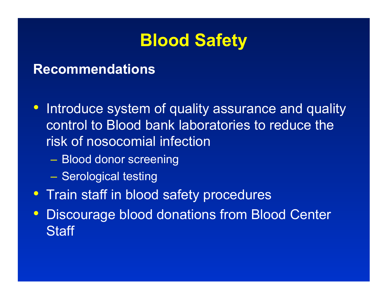

#### **Recommendations**

- $\bullet$  Introduce system of quality assurance and quality control to Blood bank laboratories to reduce the risk of nosocomial infection
	- –Blood donor screening
	- –– Serological testing
- Train staff in blood safety procedures
- $\bullet$  Discourage blood donations from Blood Center **Staff**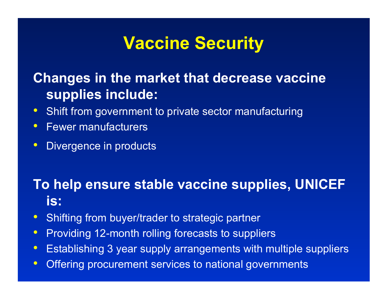# **Vaccine Security**

## **Changes in the market that decrease vaccine supplies include:**

- $\bullet$ Shift from government to private sector manufacturing
- $\bullet$ Fewer manufacturers
- $\bullet$ Divergence in products

## **To help ensure stable vaccine supplies, UNICEF is:**

- $\bullet$ Shifting from buyer/trader to strategic partner
- $\bullet$ Providing 12-month rolling forecasts to suppliers
- $\bullet$ Establishing 3 year supply arrangements with multiple suppliers
- $\bullet$ Offering procurement services to national governments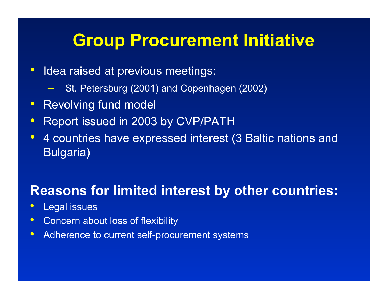# **Group Procurement Initiative**

- $\bullet$  Idea raised at previous meetings:
	- St. Petersburg (2001) and Copenhagen (2002)
- Revolving fund model
- $\bullet$ Report issued in 2003 by CVP/PATH
- $\bullet$  4 countries have expressed interest (3 Baltic nations and Bulgaria)

## **Reasons for limited interest by other countries:**

- $\bullet$ Legal issues
- •Concern about loss of flexibility
- •Adherence to current self-procurement systems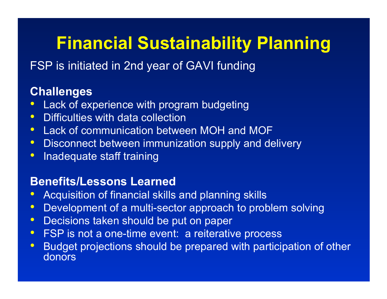# **Financial Sustainability Planning**

FSP is initiated in 2nd year of GAVI funding

### **Challenges**

- Lack of experience with program budgeting
- $\bullet$ Difficulties with data collection
- Lack of communication between MOH and MOF
- Disconnect between immunization supply and delivery
- Inadequate staff training

#### **Benefits/Lessons Learned**

- $\bullet$ Acquisition of financial skills and planning skills
- $\bullet$ Development of a multi-sector approach to problem solving
- $\bullet$ Decisions taken should be put on paper
- FSP is not a one-time event: a reiterative process
- $\bullet$  Budget projections should be prepared with participation of other donors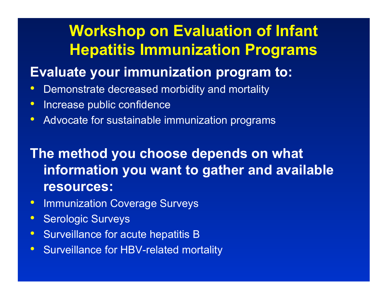# **Workshop on Evaluation of Infant Hepatitis Immunization Programs**

## **Evaluate your immunization program to:**

- •Demonstrate decreased morbidity and mortality
- $\bullet$ Increase public confidence
- $\bullet$ Advocate for sustainable immunization programs

## **The method you choose depends on what information you want to gather and available resources:**

- Immunization Coverage Surveys
- $\bullet$ Serologic Surveys
- $\bullet$ Surveillance for acute hepatitis B
- $\bullet$ Surveillance for HBV-related mortality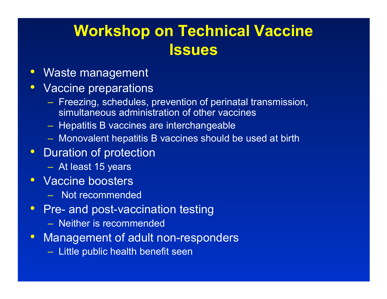# **Workshop on Technical Vaccine Issues**

- Waste management
- Vaccine preparations
	- <u>– Liberator Angel</u>  $-$  Freezing, schedules, prevention of perinatal transmission, simultaneous administration of other vaccines
	- –– Hepatitis B vaccines are interchangeable
	- –Monovalent hepatitis B vaccines should be used at birth
- Duration of protection
	- –At least 15 years
- Vaccine boosters
	- Not recommended
- Pre- and post-vaccination testing
	- Neither is recommended
- Management of adult non-responders
	- – $-$  Little public health benefit seen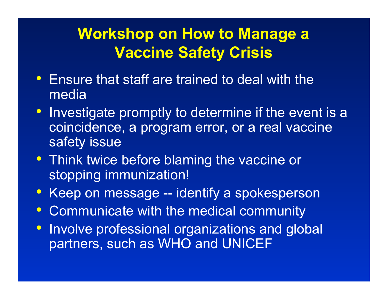# **Workshop on How to Manage a Vaccine Safety Crisis**

- Ensure that staff are trained to deal with the media
- Investigate promptly to determine if the event is a coincidence, a program error, or a real vaccine safety issue
- Think twice before blaming the vaccine or stopping immunization!
- Keep on message -- identify a spokesperson
- $\bullet$ Communicate with the medical community
- $\bullet$  Involve professional organizations and global partners, such as WHO and UNICEF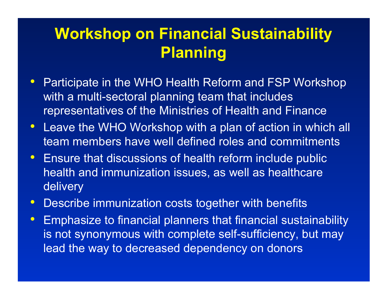# **Workshop on Financial Sustainability Planning**

- Participate in the WHO Health Reform and FSP Workshop with a multi-sectoral planning team that includes representatives of the Ministries of Health and Finance
- Leave the WHO Workshop with a plan of action in which all team members have well defined roles and commitments
- Ensure that discussions of health reform include public health and immunization issues, as well as healthcare delivery
- Describe immunization costs together with benefits
- $\bullet$  Emphasize to financial planners that financial sustainability is not synonymous with complete self-sufficiency, but may lead the way to decreased dependency on donors